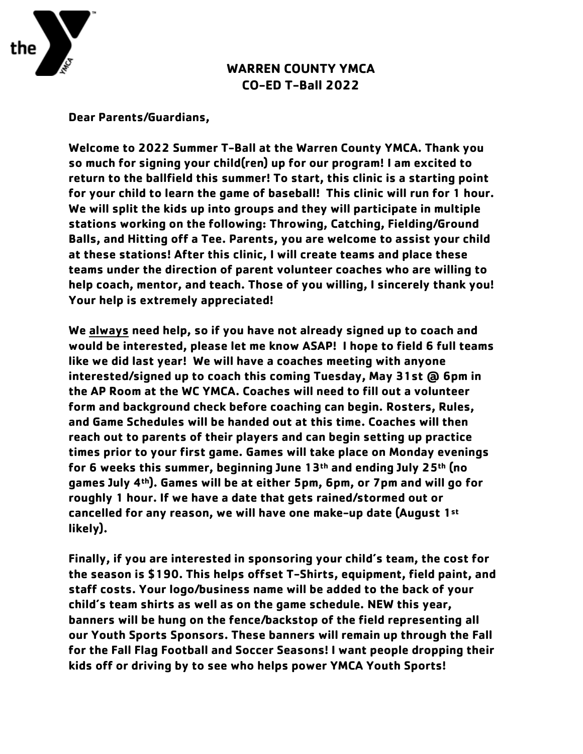

## **WARREN COUNTY YMCA CO-ED T-Ball 2022**

**Dear Parents/Guardians,**

**Welcome to 2022 Summer T-Ball at the Warren County YMCA. Thank you so much for signing your child(ren) up for our program! I am excited to return to the ballfield this summer! To start, this clinic is a starting point for your child to learn the game of baseball! This clinic will run for 1 hour. We will split the kids up into groups and they will participate in multiple stations working on the following: Throwing, Catching, Fielding/Ground Balls, and Hitting off a Tee. Parents, you are welcome to assist your child at these stations! After this clinic, I will create teams and place these teams under the direction of parent volunteer coaches who are willing to help coach, mentor, and teach. Those of you willing, I sincerely thank you! Your help is extremely appreciated!**

**We always need help, so if you have not already signed up to coach and would be interested, please let me know ASAP! I hope to field 6 full teams like we did last year! We will have a coaches meeting with anyone interested/signed up to coach this coming Tuesday, May 31st @ 6pm in the AP Room at the WC YMCA. Coaches will need to fill out a volunteer form and background check before coaching can begin. Rosters, Rules, and Game Schedules will be handed out at this time. Coaches will then reach out to parents of their players and can begin setting up practice times prior to your first game. Games will take place on Monday evenings for 6 weeks this summer, beginning June 13th and ending July 25th (no games July 4th). Games will be at either 5pm, 6pm, or 7pm and will go for roughly 1 hour. If we have a date that gets rained/stormed out or cancelled for any reason, we will have one make-up date (August 1st likely).** 

**Finally, if you are interested in sponsoring your child's team, the cost for the season is \$190. This helps offset T-Shirts, equipment, field paint, and staff costs. Your logo/business name will be added to the back of your child's team shirts as well as on the game schedule. NEW this year, banners will be hung on the fence/backstop of the field representing all our Youth Sports Sponsors. These banners will remain up through the Fall for the Fall Flag Football and Soccer Seasons! I want people dropping their kids off or driving by to see who helps power YMCA Youth Sports!**